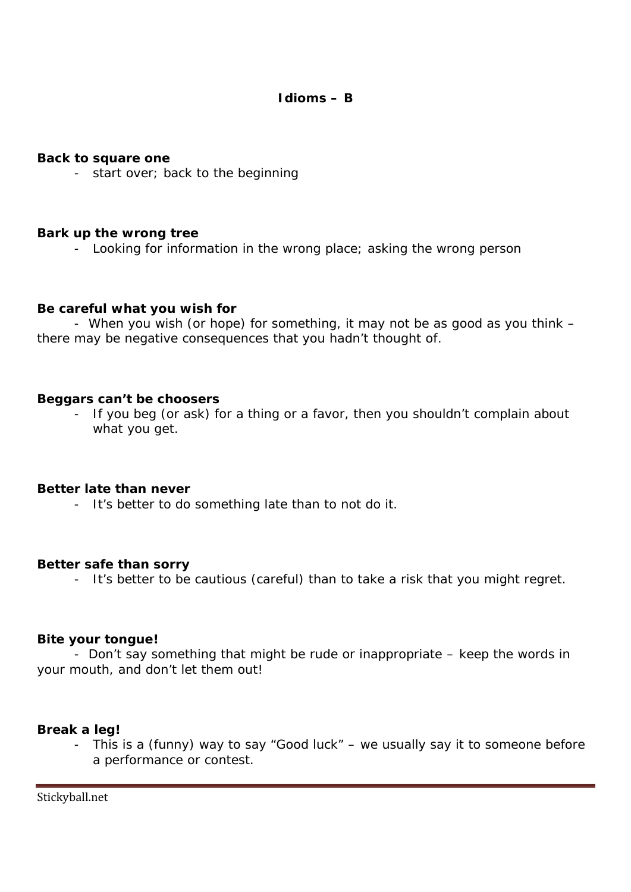**Back to square one**

- start over; back to the beginning

**Bark up the wrong tree**

- Looking for information in the wrong place; asking the wrong person

**Be careful what you wish for**

- When you wish (or hope) for something, it may not be as good as you think – there may be negative consequences that you hadn't thought of.

**Beggars can't be choosers**

- If you beg (or ask) for a thing or a favor, then you shouldn't complain about what you get.

**Better late than never**

- It's better to do something late than to not do it.

**Better safe than sorry**

- It's better to be cautious (careful) than to take a risk that you might regret.

**Bite your tongue!**

- Don't say something that might be rude or inappropriate – keep the words in your mouth, and don't let them out!

**Break a leg!**

- This is a (funny) way to say "Good luck" – we usually say it to someone before a performance or contest.

Stickyball.net